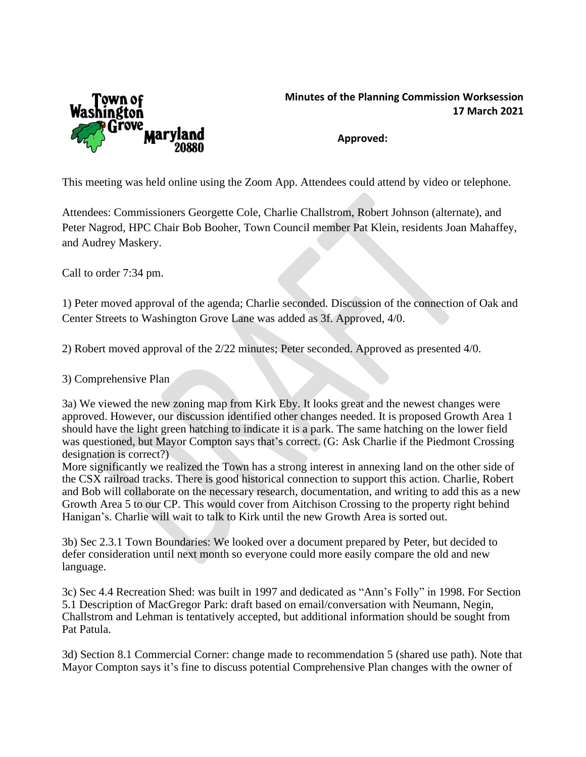

## **Minutes of the Planning Commission Worksession 17 March 2021**

**Approved:**

This meeting was held online using the Zoom App. Attendees could attend by video or telephone.

Attendees: Commissioners Georgette Cole, Charlie Challstrom, Robert Johnson (alternate), and Peter Nagrod, HPC Chair Bob Booher, Town Council member Pat Klein, residents Joan Mahaffey, and Audrey Maskery.

Call to order 7:34 pm.

1) Peter moved approval of the agenda; Charlie seconded. Discussion of the connection of Oak and Center Streets to Washington Grove Lane was added as 3f. Approved, 4/0.

2) Robert moved approval of the 2/22 minutes; Peter seconded. Approved as presented 4/0.

3) Comprehensive Plan

3a) We viewed the new zoning map from Kirk Eby. It looks great and the newest changes were approved. However, our discussion identified other changes needed. It is proposed Growth Area 1 should have the light green hatching to indicate it is a park. The same hatching on the lower field was questioned, but Mayor Compton says that's correct. (G: Ask Charlie if the Piedmont Crossing designation is correct?)

More significantly we realized the Town has a strong interest in annexing land on the other side of the CSX railroad tracks. There is good historical connection to support this action. Charlie, Robert and Bob will collaborate on the necessary research, documentation, and writing to add this as a new Growth Area 5 to our CP. This would cover from Aitchison Crossing to the property right behind Hanigan's. Charlie will wait to talk to Kirk until the new Growth Area is sorted out.

3b) Sec 2.3.1 Town Boundaries: We looked over a document prepared by Peter, but decided to defer consideration until next month so everyone could more easily compare the old and new language.

3c) Sec 4.4 Recreation Shed: was built in 1997 and dedicated as "Ann's Folly" in 1998. For Section 5.1 Description of MacGregor Park: draft based on email/conversation with Neumann, Negin, Challstrom and Lehman is tentatively accepted, but additional information should be sought from Pat Patula.

3d) Section 8.1 Commercial Corner: change made to recommendation 5 (shared use path). Note that Mayor Compton says it's fine to discuss potential Comprehensive Plan changes with the owner of